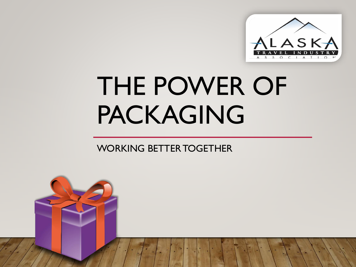

# THE POWER OF PACKAGING

#### WORKING BETTER TOGETHER

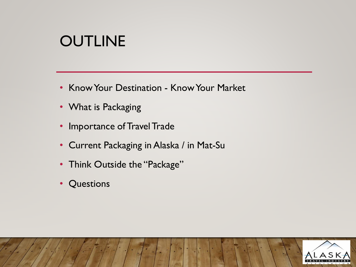### **OUTLINE**

- Know Your Destination Know Your Market
- What is Packaging
- Importance of Travel Trade
- Current Packaging in Alaska / in Mat-Su
- Think Outside the "Package"
- Questions

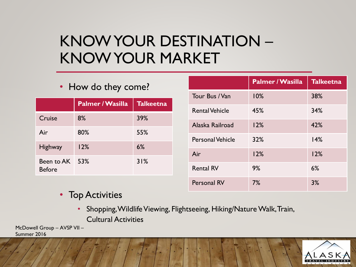### KNOW YOUR DESTINATION – KNOW YOUR MARKET

#### **Palmer / Wasilla Talkeetna** Cruise 8% 39% Air 80% 55% Highway 12% 6% Been to AK 53% Before 53% 31%

• How do they come?

|                         | <b>Palmer / Wasilla</b> | <b>Talkeetna</b> |
|-------------------------|-------------------------|------------------|
| Tour Bus / Van          | 10%                     | 38%              |
| <b>Rental Vehicle</b>   | 45%                     | 34%              |
| Alaska Railroad         | 12%                     | 42%              |
| <b>Personal Vehicle</b> | 32%                     | 14%              |
| Air                     | 12%                     | 12%              |
| <b>Rental RV</b>        | 9%                      | 6%               |
| Personal RV             | 7%                      | 3%               |

- Top Activities
	- Shopping, Wildlife Viewing, Flightseeing, Hiking/Nature Walk, Train, Cultural Activities

McDowell Group – AVSP VII – Summer 2016

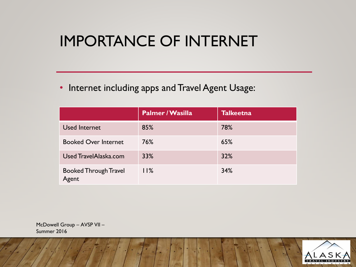### IMPORTANCE OF INTERNET

• Internet including apps and Travel Agent Usage:

|                                       | Palmer / Wasilla | <b>Talkeetna</b> |
|---------------------------------------|------------------|------------------|
| <b>Used Internet</b>                  | 85%              | 78%              |
| <b>Booked Over Internet</b>           | 76%              | 65%              |
| Used TravelAlaska.com                 | 33%              | 32%              |
| <b>Booked Through Travel</b><br>Agent | 11%              | 34%              |

McDowell Group – AVSP VII – Summer 2016

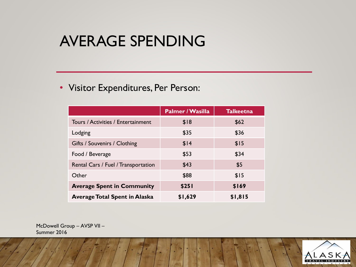#### AVERAGE SPENDING

#### • Visitor Expenditures, Per Person:

|                                      | <b>Palmer / Wasilla</b> | <b>Talkeetna</b> |
|--------------------------------------|-------------------------|------------------|
| Tours / Activities / Entertainment   | \$18                    | \$62             |
| Lodging                              | \$35                    | \$36             |
| Gifts / Souvenirs / Clothing         | \$14                    | \$15             |
| Food / Beverage                      | \$53                    | \$34             |
| Rental Cars / Fuel / Transportation  | \$43                    | \$5              |
| Other                                | \$88                    | \$15             |
| <b>Average Spent in Community</b>    | \$251                   | \$169            |
| <b>Average Total Spent in Alaska</b> | \$1,629                 | \$1,815          |

McDowell Group – AVSP VII – Summer 2016

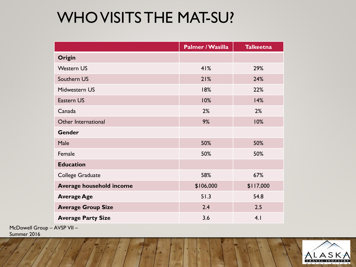### WHO VISITS THE MAT-SU?

|                           | <b>Palmer / Wasilla</b> | <b>Talkeetna</b> |
|---------------------------|-------------------------|------------------|
| Origin                    |                         |                  |
| <b>Western US</b>         | 41%                     | 29%              |
| Southern US               | 21%                     | 24%              |
| Midwestern US             | 18%                     | 22%              |
| <b>Eastern US</b>         | 10%                     | 14%              |
| Canada                    | 2%                      | 2%               |
| Other International       | 9%                      | 10%              |
| <b>Gender</b>             |                         |                  |
| Male                      | 50%                     | 50%              |
| Female                    | 50%                     | 50%              |
| <b>Education</b>          |                         |                  |
| College Graduate          | 58%                     | 67%              |
| Average household income  | \$106,000               | \$117,000        |
| <b>Average Age</b>        | 51.3                    | 54.8             |
| <b>Average Group Size</b> | 2.4                     | 2.5              |
| <b>Average Party Size</b> | 3.6                     | 4.1              |

McDowell Group – AVSP VII –

Summer 2016

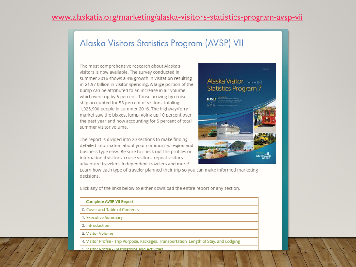#### [www.alaskatia.org/marketing/alaska-visitors-statistics-program-avsp-vii](http://www.alaskatia.org/marketing/alaska-visitors-statistics-program-avsp-vii)

#### Alaska Visitors Statistics Program (AVSP) VII

The most comprehensive research about Alaska's visitors is now available. The survey conducted in summer 2016 shows a 4% growth in visitation resulting in \$1.97 billion in visitor spending. A large portion of the bump can be attributed to an increase in air volume, which went up by 6 percent. Those arriving by cruise ship accounted for 55 percent of visitors, totaling 1,025,900 people in summer 2016. The highway/ferry market saw the biggest jump, going up 10 percent over the past year and now accounting for 5 percent of total summer visitor volume.

The report is divided into 20 sections to make finding detailed information about your community, region and business-type easy. Be sure to check out the profiles on international visitors, cruise visitors, repeat visitors, adventure travelers, independent travelers and more!

#### Alaska Visitor summer 2016 **Statistics Program 7**



Learn how each type of traveler planned their trip so you can make informed marketing decisions.

Click any of the links below to either download the entire report or any section.

| <b>Complete AVSP VII Report</b>                                                          |
|------------------------------------------------------------------------------------------|
| 0. Cover and Table of Contents                                                           |
| 1. Executive Summary                                                                     |
| 2. Introduction                                                                          |
| 3. Visitor Volume                                                                        |
| 4. Visitor Profile - Trip Purpose, Packages, Transportation, Length of Stay, and Lodging |
|                                                                                          |

5. Visitor Profile - Destinations and Activities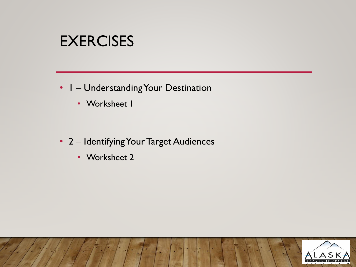#### **EXERCISES**

- 1 Understanding Your Destination
	- Worksheet I
- 2 Identifying Your Target Audiences
	- Worksheet 2

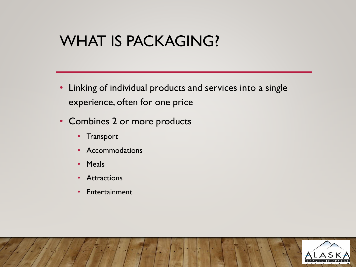#### WHAT IS PACKAGING?

- Linking of individual products and services into a single experience, often for one price
- Combines 2 or more products
	- Transport
	- Accommodations
	- Meals
	- Attractions
	- Entertainment

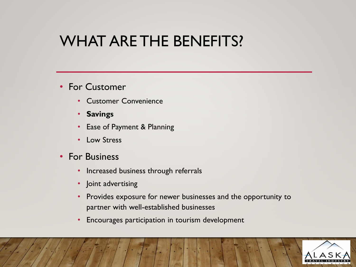#### WHAT ARE THE BENEFITS?

- For Customer
	- Customer Convenience
	- **Savings**
	- Ease of Payment & Planning
	- Low Stress
- For Business
	- Increased business through referrals
	- Joint advertising
	- Provides exposure for newer businesses and the opportunity to partner with well-established businesses
	- Encourages participation in tourism development

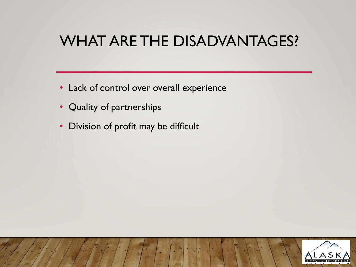### WHAT ARE THE DISADVANTAGES?

- Lack of control over overall experience
- Quality of partnerships
- Division of profit may be difficult

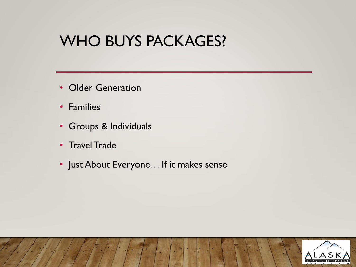#### WHO BUYS PACKAGES?

- Older Generation
- Families
- Groups & Individuals
- Travel Trade
- Just About Everyone. . . If it makes sense

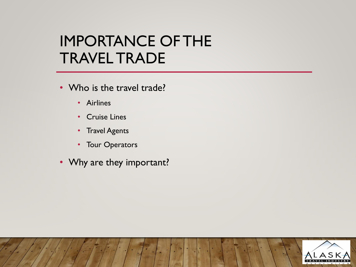#### IMPORTANCE OF THE TRAVEL TRADE

- Who is the travel trade?
	- Airlines
	- Cruise Lines
	- Travel Agents
	- Tour Operators
- Why are they important?

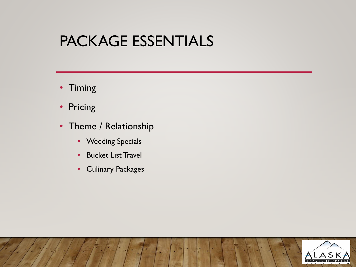#### PACKAGE ESSENTIALS

- Timing
- Pricing
- Theme / Relationship
	- Wedding Specials
	- Bucket List Travel
	- Culinary Packages

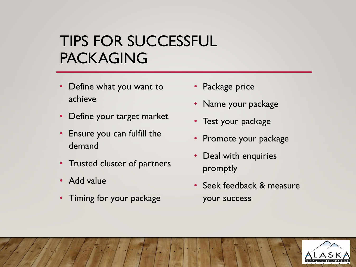### TIPS FOR SUCCESSFUL PACKAGING

- Define what you want to achieve
- Define your target market
- Ensure you can fulfill the demand
- Trusted cluster of partners
- Add value
- Timing for your package
- Package price
- Name your package
- Test your package
- Promote your package
- Deal with enquiries promptly
- Seek feedback & measure your success

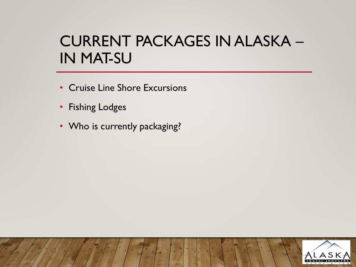### CURRENT PACKAGES IN ALASKA – IN MAT-SU

- Cruise Line Shore Excursions
- Fishing Lodges
- Who is currently packaging?

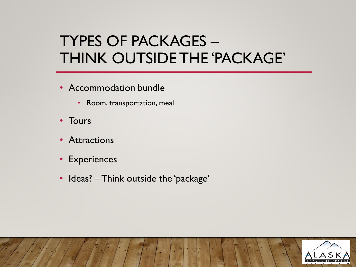### TYPES OF PACKAGES – THINK OUTSIDE THE 'PACKAGE'

- Accommodation bundle
	- Room, transportation, meal
- Tours
- Attractions
- Experiences
- Ideas? Think outside the 'package'

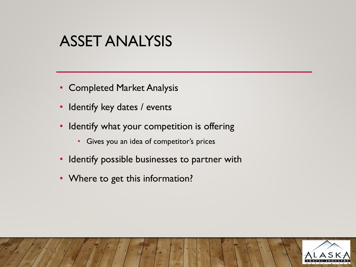#### ASSET ANALYSIS

- Completed Market Analysis
- Identify key dates / events
- Identify what your competition is offering
	- Gives you an idea of competitor's prices
- Identify possible businesses to partner with
- Where to get this information?

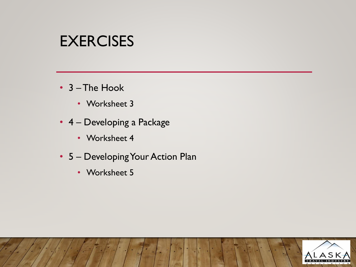#### EXERCISES

- 3 –The Hook
	- Worksheet 3
- 4 Developing a Package
	- Worksheet 4
- 5 Developing Your Action Plan
	- Worksheet 5

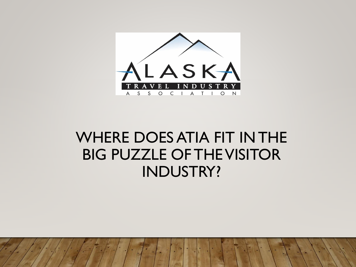

#### WHERE DOES ATIA FIT IN THE BIG PUZZLE OF THE VISITOR INDUSTRY?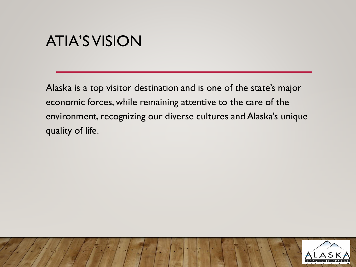#### ATIA'S VISION

Alaska is a top visitor destination and is one of the state's major economic forces, while remaining attentive to the care of the environment, recognizing our diverse cultures and Alaska's unique quality of life.

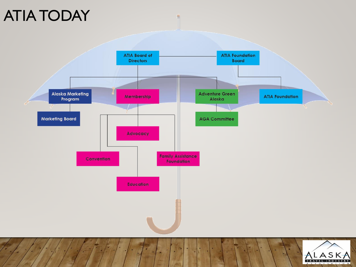## ATIA TODAY

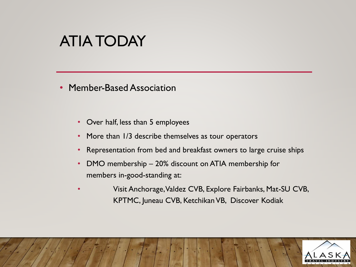#### ATIA TODAY

- Member-Based Association
	- Over half, less than 5 employees
	- More than 1/3 describe themselves as tour operators
	- Representation from bed and breakfast owners to large cruise ships
	- DMO membership 20% discount on ATIA membership for members in-good-standing at:
	- Visit Anchorage, Valdez CVB, Explore Fairbanks, Mat-SU CVB, KPTMC, Juneau CVB, Ketchikan VB, Discover Kodiak